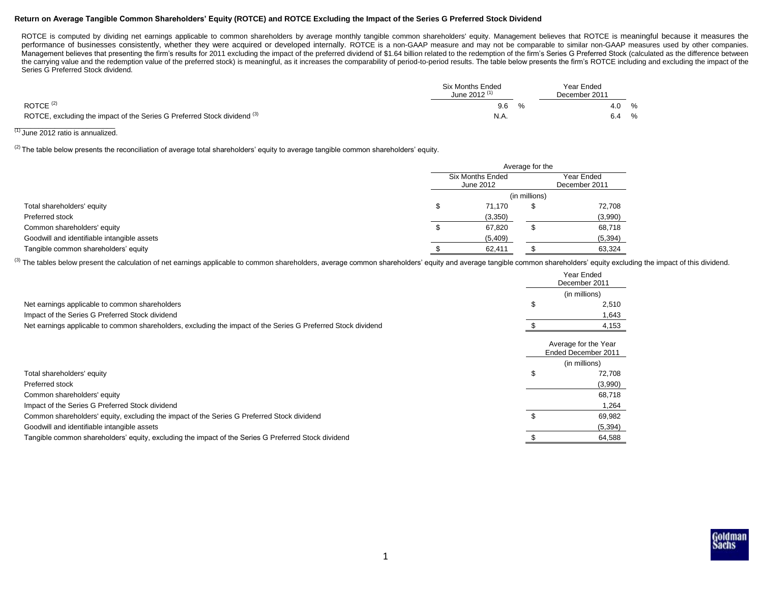## **Return on Average Tangible Common Shareholders' Equity (ROTCE) and ROTCE Excluding the Impact of the Series G Preferred Stock Dividend**

ROTCE is computed by dividing net earnings applicable to common shareholders by average monthly tangible common shareholders' equity. Management believes that ROTCE is meaningful because it measures the performance of businesses consistently, whether they were acquired or developed internally. ROTCE is a non-GAAP measure and may not be comparable to similar non-GAAP measures used by other companies. Management believes that presenting the firm's results for 2011 excluding the impact of the preferred dividend of \$1.64 billion related to the redemption of the firm's Series G Preferred Stock (calculated as the difference the carrying value and the redemption value of the preferred stock) is meaningful, as it increases the comparability of period-to-period results. The table below presents the firm's ROTCE including and excluding the impact Series G Preferred Stock dividend.

|                                                                                     | <b>Six Months Ended</b><br>June 2012 $(1)$ | Year Ended<br>December 2011 |  |
|-------------------------------------------------------------------------------------|--------------------------------------------|-----------------------------|--|
| ROTCE $(2)$                                                                         | 9.6                                        | %<br>4.0                    |  |
| ROTCE, excluding the impact of the Series G Preferred Stock dividend <sup>(3)</sup> | N.A                                        | %<br>6.4                    |  |

# $\frac{1}{10}$  June 2012 ratio is annualized.

<sup>(2)</sup> The table below presents the reconciliation of average total shareholders' equity to average tangible common shareholders' equity.

|                                             | Average for the               |                             |          |  |
|---------------------------------------------|-------------------------------|-----------------------------|----------|--|
|                                             | Six Months Ended<br>June 2012 | Year Ended<br>December 2011 |          |  |
|                                             |                               | (in millions)               |          |  |
| Total shareholders' equity                  | 71.170                        |                             | 72,708   |  |
| Preferred stock                             | (3,350)                       |                             | (3,990)  |  |
| Common shareholders' equity                 | 67,820                        |                             | 68,718   |  |
| Goodwill and identifiable intangible assets | (5,409)                       |                             | (5, 394) |  |
| Tangible common shareholders' equity        | 62,411                        |                             | 63,324   |  |

(3) The tables below present the calculation of net earnings applicable to common shareholders, average common shareholders' equity and average tangible common shareholders' equity excluding the impact of this dividend.

|                                                                                                               |   | Year Ended<br>December 2011                 |
|---------------------------------------------------------------------------------------------------------------|---|---------------------------------------------|
|                                                                                                               |   | (in millions)                               |
| Net earnings applicable to common shareholders                                                                | Æ | 2,510                                       |
| Impact of the Series G Preferred Stock dividend                                                               |   | 1.643                                       |
| Net earnings applicable to common shareholders, excluding the impact of the Series G Preferred Stock dividend |   | 4,153                                       |
|                                                                                                               |   | Average for the Year<br>Ended December 2011 |
|                                                                                                               |   | (in millions)                               |
| Total shareholders' equity                                                                                    | S | 72,708                                      |
| Preferred stock                                                                                               |   | (3,990)                                     |
| Common shareholders' equity                                                                                   |   | 68,718                                      |
| Impact of the Series G Preferred Stock dividend                                                               |   | 1,264                                       |
| Common shareholders' equity, excluding the impact of the Series G Preferred Stock dividend                    |   | 69,982                                      |
| Goodwill and identifiable intangible assets                                                                   |   | (5, 394)                                    |
| Tangible common shareholders' equity, excluding the impact of the Series G Preferred Stock dividend           |   | 64,588                                      |

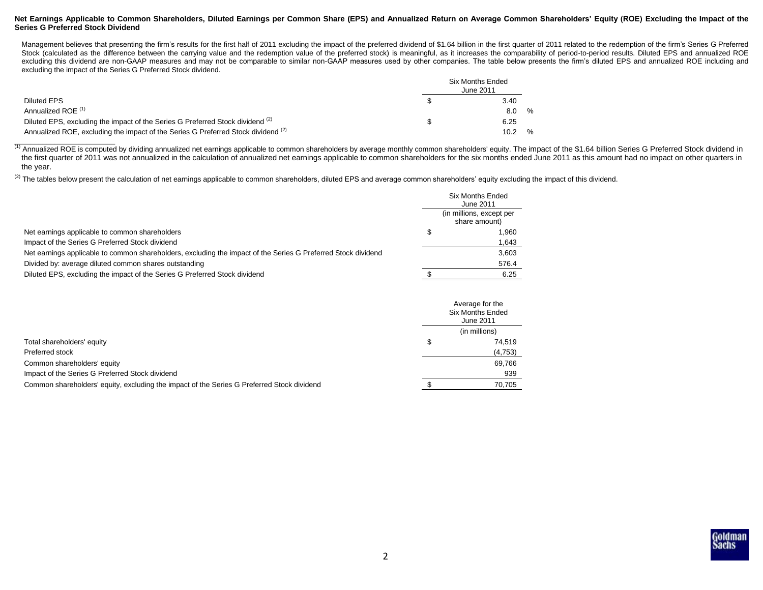### **Net Earnings Applicable to Common Shareholders, Diluted Earnings per Common Share (EPS) and Annualized Return on Average Common Shareholders' Equity (ROE) Excluding the Impact of the Series G Preferred Stock Dividend**

Management believes that presenting the firm's results for the first half of 2011 excluding the impact of the preferred dividend of \$1.64 billion in the first quarter of 2011 related to the redemption of the firm's Series Stock (calculated as the difference between the carrying value and the redemption value of the preferred stock) is meaningful, as it increases the comparability of period-to-period results. Diluted EPS and annualized ROE excluding this dividend are non-GAAP measures and may not be comparable to similar non-GAAP measures used by other companies. The table below presents the firm's diluted EPS and annualized ROE including and excluding the impact of the Series G Preferred Stock dividend.

|                                                                                           | Six Months Ended<br>June 2011 |
|-------------------------------------------------------------------------------------------|-------------------------------|
| Diluted EPS                                                                               | 3.40                          |
| Annualized ROE <sup>(1)</sup>                                                             | $\frac{9}{6}$<br>8.0          |
| Diluted EPS, excluding the impact of the Series G Preferred Stock dividend <sup>(2)</sup> | 6.25                          |
| Annualized ROE, excluding the impact of the Series G Preferred Stock dividend (2)         | $\frac{9}{6}$                 |

(1) Annualized ROE is computed by dividing annualized net earnings applicable to common shareholders by average monthly common shareholders' equity. The impact of the \$1.64 billion Series G Preferred Stock dividend in the first quarter of 2011 was not annualized in the calculation of annualized net earnings applicable to common shareholders for the six months ended June 2011 as this amount had no impact on other quarters in the year.

 $^{(2)}$  The tables below present the calculation of net earnings applicable to common shareholders, diluted EPS and average common shareholders' equity excluding the impact of this dividend.

|                                                                                                               | <b>Six Months Ended</b><br>June 2011      |
|---------------------------------------------------------------------------------------------------------------|-------------------------------------------|
|                                                                                                               | (in millions, except per<br>share amount) |
| Net earnings applicable to common shareholders                                                                | 1.960                                     |
| Impact of the Series G Preferred Stock dividend                                                               | 1,643                                     |
| Net earnings applicable to common shareholders, excluding the impact of the Series G Preferred Stock dividend | 3.603                                     |
| Divided by: average diluted common shares outstanding                                                         | 576.4                                     |
| Diluted EPS, excluding the impact of the Series G Preferred Stock dividend                                    | 6.25                                      |
|                                                                                                               |                                           |

|                                                                                            | Average for the<br><b>Six Months Ended</b><br>June 2011 |
|--------------------------------------------------------------------------------------------|---------------------------------------------------------|
|                                                                                            | (in millions)                                           |
| Total shareholders' equity                                                                 | 74.519                                                  |
| Preferred stock                                                                            | (4,753)                                                 |
| Common shareholders' equity                                                                | 69.766                                                  |
| Impact of the Series G Preferred Stock dividend                                            | 939                                                     |
| Common shareholders' equity, excluding the impact of the Series G Preferred Stock dividend | 70.705                                                  |

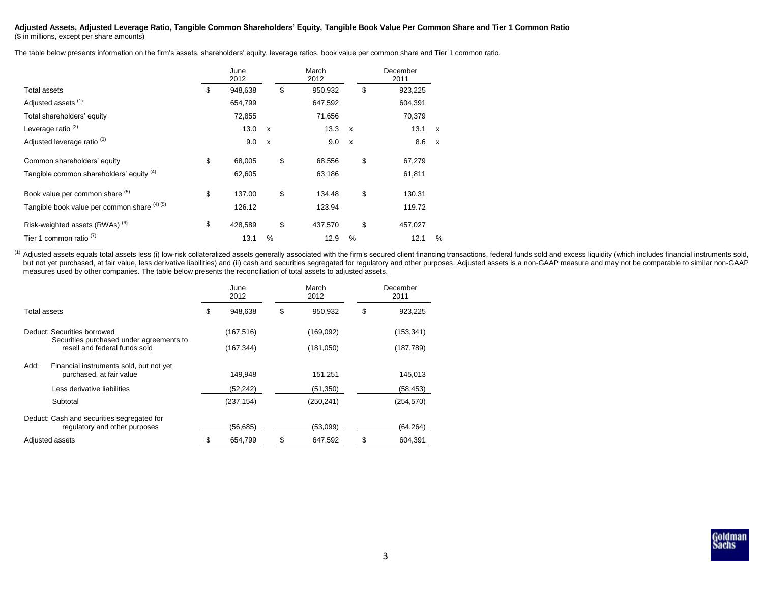#### **Adjusted Assets, Adjusted Leverage Ratio, Tangible Common Shareholders' Equity, Tangible Book Value Per Common Share and Tier 1 Common Ratio** (\$ in millions, except per share amounts)

The table below presents information on the firm's assets, shareholders' equity, leverage ratios, book value per common share and Tier 1 common ratio.

|                                              | June<br>2012  |                           | March<br>2012 |              | December<br>2011 |              |
|----------------------------------------------|---------------|---------------------------|---------------|--------------|------------------|--------------|
| Total assets                                 | \$<br>948,638 |                           | \$<br>950,932 |              | \$<br>923,225    |              |
| Adjusted assets <sup>(1)</sup>               | 654,799       |                           | 647,592       |              | 604,391          |              |
| Total shareholders' equity                   | 72,855        |                           | 71,656        |              | 70,379           |              |
| Leverage ratio <sup>(2)</sup>                | 13.0          | $\mathsf{x}$              | 13.3          | $\mathbf{x}$ | 13.1             | $\mathsf{x}$ |
| Adjusted leverage ratio <sup>(3)</sup>       | 9.0           | $\boldsymbol{\mathsf{x}}$ | 9.0           | $\mathsf{x}$ | 8.6              | $\mathsf{x}$ |
| Common shareholders' equity                  | \$<br>68,005  |                           | \$<br>68,556  |              | \$<br>67,279     |              |
| Tangible common shareholders' equity (4)     | 62,605        |                           | 63,186        |              | 61,811           |              |
| Book value per common share (5)              | \$<br>137.00  |                           | \$<br>134.48  |              | \$<br>130.31     |              |
| Tangible book value per common share (4) (5) | 126.12        |                           | 123.94        |              | 119.72           |              |
| Risk-weighted assets (RWAs) <sup>(6)</sup>   | \$<br>428,589 |                           | \$<br>437,570 |              | \$<br>457,027    |              |
| Tier 1 common ratio <sup>(7)</sup>           | 13.1          | %                         | 12.9          | $\%$         | 12.1             | $\%$         |

(1) Adjusted assets equals total assets less (i) low-risk collateralized assets generally associated with the firm's secured client financing transactions, federal funds sold and excess liquidity (which includes financial but not yet purchased, at fair value, less derivative liabilities) and (ii) cash and securities segregated for regulatory and other purposes. Adjusted assets is a non-GAAP measure and may not be comparable to similar non-G measures used by other companies. The table below presents the reconciliation of total assets to adjusted assets.

|              |                                                                             | June<br>2012  | March<br>2012 | December<br>2011 |
|--------------|-----------------------------------------------------------------------------|---------------|---------------|------------------|
| Total assets |                                                                             | \$<br>948,638 | \$<br>950,932 | \$<br>923,225    |
|              | Deduct: Securities borrowed                                                 | (167, 516)    | (169,092)     | (153, 341)       |
|              | Securities purchased under agreements to<br>resell and federal funds sold   | (167, 344)    | (181,050)     | (187, 789)       |
| Add:         | Financial instruments sold, but not yet<br>purchased, at fair value         | 149.948       | 151,251       | 145.013          |
|              | Less derivative liabilities                                                 | (52, 242)     | (51, 350)     | (58, 453)        |
|              | Subtotal                                                                    | (237, 154)    | (250,241)     | (254, 570)       |
|              | Deduct: Cash and securities segregated for<br>regulatory and other purposes | (56, 685)     | (53,099)      | (64, 264)        |
|              | Adjusted assets                                                             | 654,799       | 647,592       | 604,391          |